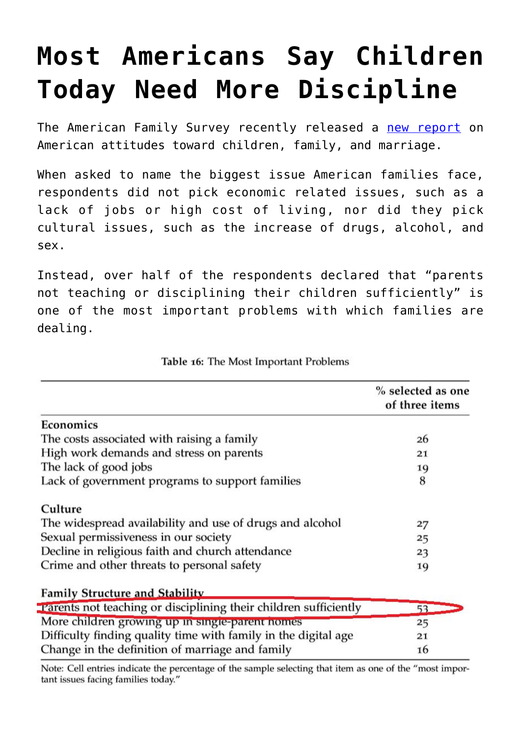## **[Most Americans Say Children](https://intellectualtakeout.org/2015/11/most-americans-say-children-today-need-more-discipline/) [Today Need More Discipline](https://intellectualtakeout.org/2015/11/most-americans-say-children-today-need-more-discipline/)**

The American Family Survey recently released a [new report](http://national.deseretnews.com/files/american-family-survey.pdf#page=30&zoom=auto,72,605.088) on American attitudes toward children, family, and marriage.

When asked to name the biggest issue American families face, respondents did not pick economic related issues, such as a lack of jobs or high cost of living, nor did they pick cultural issues, such as the increase of drugs, alcohol, and sex.

Instead, over half of the respondents declared that "parents not teaching or disciplining their children sufficiently" is one of the most important problems with which families are dealing.

|                                                                  | % selected as one<br>of three items |
|------------------------------------------------------------------|-------------------------------------|
| Economics                                                        |                                     |
| The costs associated with raising a family                       | 26                                  |
| High work demands and stress on parents                          | 21                                  |
| The lack of good jobs                                            | 19                                  |
| Lack of government programs to support families                  | 8                                   |
| Culture                                                          |                                     |
| The widespread availability and use of drugs and alcohol         | 27                                  |
| Sexual permissiveness in our society                             | 25                                  |
| Decline in religious faith and church attendance                 | 23                                  |
| Crime and other threats to personal safety                       | 19                                  |
| <b>Family Structure and Stability</b>                            |                                     |
| Parents not teaching or disciplining their children sufficiently | 53                                  |
| More children growing up in single-parent nomes                  | 25                                  |
| Difficulty finding quality time with family in the digital age   | 21                                  |
| Change in the definition of marriage and family                  | 16                                  |

Table 16: The Most Important Problems

Note: Cell entries indicate the percentage of the sample selecting that item as one of the "most important issues facing families today."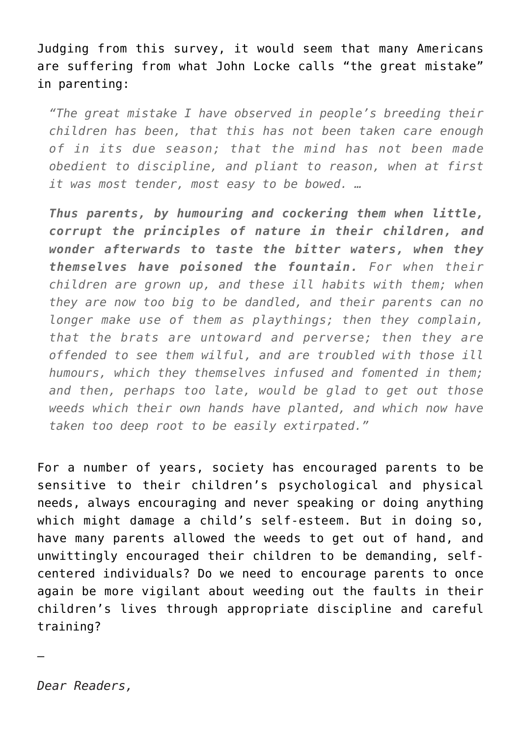Judging from this survey, it would seem that many Americans are suffering from what John Locke calls "the great mistake" in parenting:

*"The great mistake I have observed in people's breeding their children has been, that this has not been taken care enough of in its due season; that the mind has not been made obedient to discipline, and pliant to reason, when at first it was most tender, most easy to be bowed. …*

*Thus parents, by humouring and cockering them when little, corrupt the principles of nature in their children, and wonder afterwards to taste the bitter waters, when they themselves have poisoned the fountain. For when their children are grown up, and these ill habits with them; when they are now too big to be dandled, and their parents can no longer make use of them as playthings; then they complain, that the brats are untoward and perverse; then they are offended to see them wilful, and are troubled with those ill humours, which they themselves infused and fomented in them; and then, perhaps too late, would be glad to get out those weeds which their own hands have planted, and which now have taken too deep root to be easily extirpated."*

For a number of years, society has encouraged parents to be sensitive to their children's psychological and physical needs, always encouraging and never speaking or doing anything which might damage a child's self-esteem. But in doing so, have many parents allowed the weeds to get out of hand, and unwittingly encouraged their children to be demanding, selfcentered individuals? Do we need to encourage parents to once again be more vigilant about weeding out the faults in their children's lives through appropriate discipline and careful training?

—